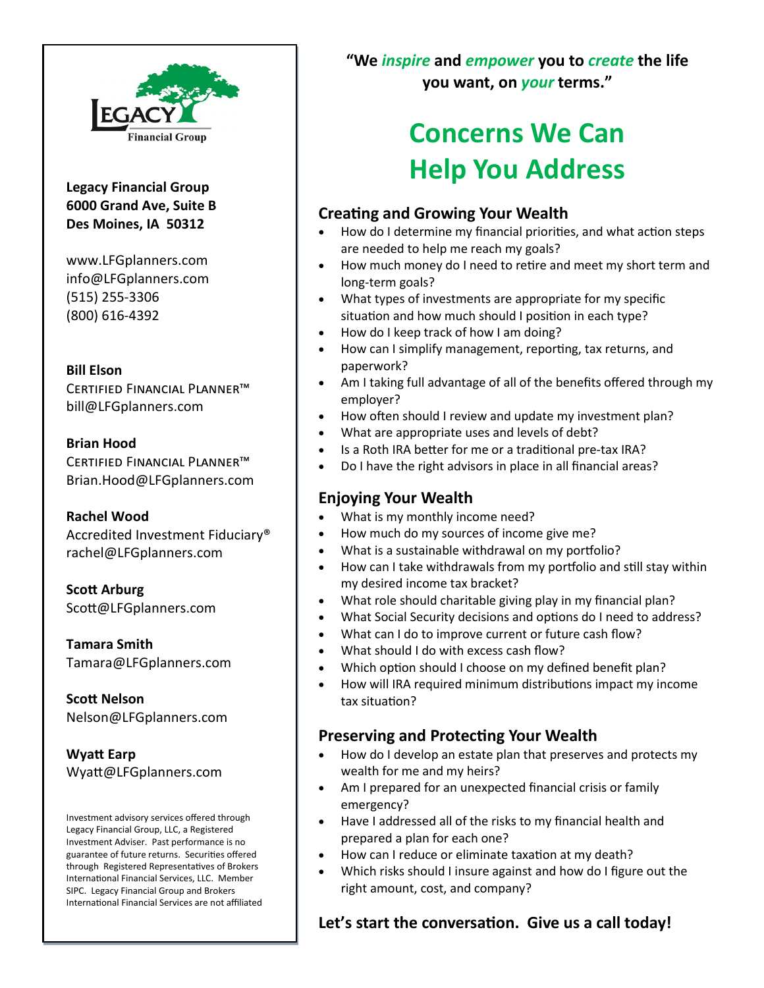

**Legacy Financial Group 6000 Grand Ave, Suite B Des Moines, IA 50312**

www.LFGplanners.com info@LFGplanners.com (515) 255-3306 (800) 616-4392

#### **Bill Elson**

Certified Financial Planner™ bill@LFGplanners.com

#### **Brian Hood**

Certified Financial Planner™ Brian.Hood@LFGplanners.com

#### **Rachel Wood**

Accredited Investment Fiduciary® rachel@LFGplanners.com

**Scott Arburg** Scott@LFGplanners.com

**Tamara Smith** Tamara@LFGplanners.com

**Scott Nelson** Nelson@LFGplanners.com

**Wyatt Earp** Wyatt@LFGplanners.com

Investment advisory services offered through Legacy Financial Group, LLC, a Registered Investment Adviser. Past performance is no guarantee of future returns. Securities offered through Registered Representatives of Brokers International Financial Services, LLC. Member SIPC. Legacy Financial Group and Brokers International Financial Services are not affiliated **"We** *inspire* **and** *empower* **you to** *create* **the life you want, on** *your* **terms."** 

# **Concerns We Can Help You Address**

## **Creating and Growing Your Wealth**

- How do I determine my financial priorities, and what action steps are needed to help me reach my goals?
- How much money do I need to retire and meet my short term and long-term goals?
- What types of investments are appropriate for my specific situation and how much should I position in each type?
- How do I keep track of how I am doing?
- How can I simplify management, reporting, tax returns, and paperwork?
- Am I taking full advantage of all of the benefits offered through my employer?
- How often should I review and update my investment plan?
- What are appropriate uses and levels of debt?
- Is a Roth IRA better for me or a traditional pre-tax IRA?
- Do I have the right advisors in place in all financial areas?

### **Enjoying Your Wealth**

- What is my monthly income need?
- How much do my sources of income give me?
- What is a sustainable withdrawal on my portfolio?
- How can I take withdrawals from my portfolio and still stay within my desired income tax bracket?
- What role should charitable giving play in my financial plan?
- What Social Security decisions and options do I need to address?
- What can I do to improve current or future cash flow?
- What should I do with excess cash flow?
- Which option should I choose on my defined benefit plan?
- How will IRA required minimum distributions impact my income tax situation?

## **Preserving and Protecting Your Wealth**

- How do I develop an estate plan that preserves and protects my wealth for me and my heirs?
- Am I prepared for an unexpected financial crisis or family emergency?
- Have I addressed all of the risks to my financial health and prepared a plan for each one?
- How can I reduce or eliminate taxation at my death?
- Which risks should I insure against and how do I figure out the right amount, cost, and company?

**Let's start the conversation. Give us a call today!**